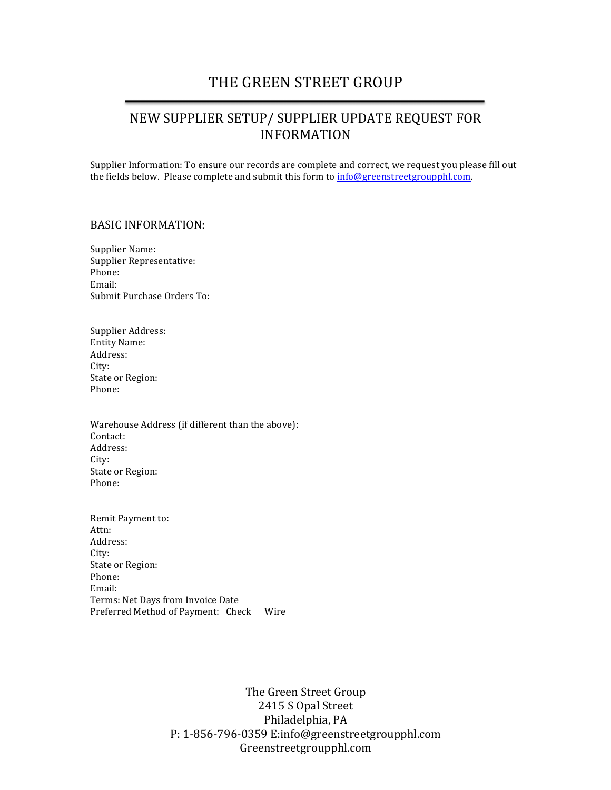## THE GREEN STREET GROUP

## NEW SUPPLIER SETUP/ SUPPLIER UPDATE REQUEST FOR INFORMATION

Supplier Information: To ensure our records are complete and correct, we request you please fill out the fields below. Please complete and submit this form to  $inf_{{\bf Q}}genstreetron{}$ 

## BASIC INFORMATION:

Supplier Name: Supplier Representative: Phone: Email: Submit Purchase Orders To:

Supplier Address: Entity Name: Address: City: State or Region: Phone:

Warehouse Address (if different than the above): Contact: Address: City: State or Region: Phone:

Remit Payment to: Attn: Address: City: State or Region: Phone: Email: Terms: Net Days from Invoice Date Preferred Method of Payment: Check Wire

> The Green Street Group 2415 S Opal Street Philadelphia, PA P: 1-856-796-0359 E:info@greenstreetgroupphl.com Greenstreetgroupphl.com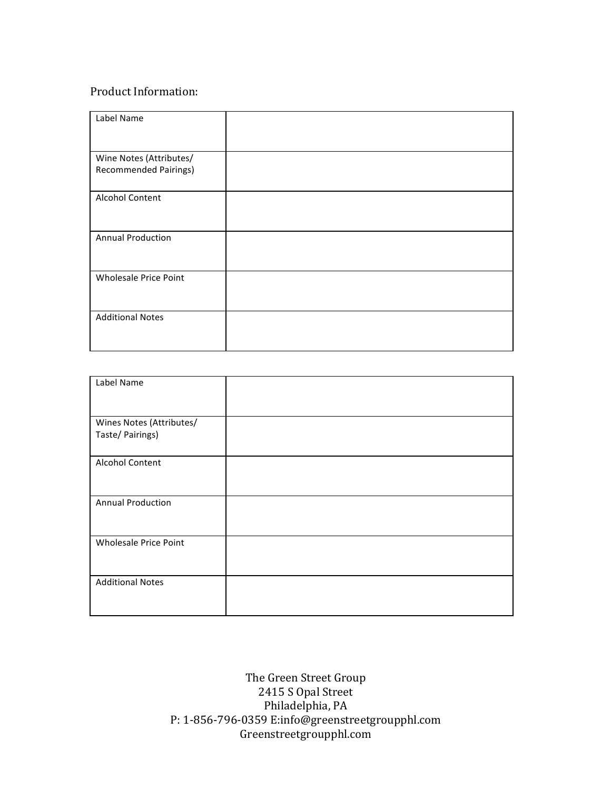## Product Information:

| Label Name                   |  |
|------------------------------|--|
|                              |  |
| Wine Notes (Attributes/      |  |
| <b>Recommended Pairings)</b> |  |
| Alcohol Content              |  |
|                              |  |
| <b>Annual Production</b>     |  |
| <b>Wholesale Price Point</b> |  |
| <b>Additional Notes</b>      |  |

| Label Name                                   |  |
|----------------------------------------------|--|
|                                              |  |
| Wines Notes (Attributes/<br>Taste/ Pairings) |  |
|                                              |  |
| Alcohol Content                              |  |
|                                              |  |
| <b>Annual Production</b>                     |  |
|                                              |  |
| <b>Wholesale Price Point</b>                 |  |
|                                              |  |
| <b>Additional Notes</b>                      |  |
|                                              |  |

The Green Street Group 2415 S Opal Street Philadelphia, PA P: 1-856-796-0359 E:info@greenstreetgroupphl.com Greenstreetgroupphl.com